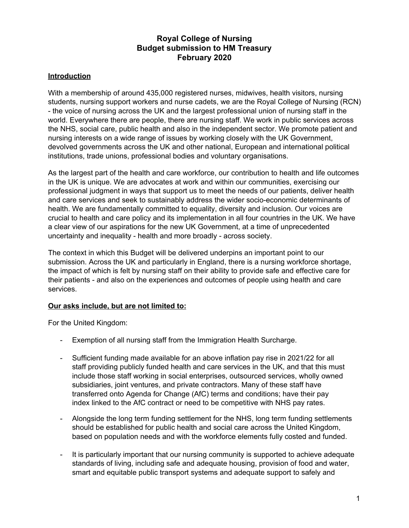# **Royal College of Nursing Budget submission to HM Treasury February 2020**

## **Introduction**

With a membership of around 435,000 registered nurses, midwives, health visitors, nursing students, nursing support workers and nurse cadets, we are the Royal College of Nursing (RCN) - the voice of nursing across the UK and the largest professional union of nursing staff in the world. Everywhere there are people, there are nursing staff. We work in public services across the NHS, social care, public health and also in the independent sector. We promote patient and nursing interests on a wide range of issues by working closely with the UK Government, devolved governments across the UK and other national, European and international political institutions, trade unions, professional bodies and voluntary organisations.

As the largest part of the health and care workforce, our contribution to health and life outcomes in the UK is unique. We are advocates at work and within our communities, exercising our professional judgment in ways that support us to meet the needs of our patients, deliver health and care services and seek to sustainably address the wider socio-economic determinants of health. We are fundamentally committed to equality, diversity and inclusion. Our voices are crucial to health and care policy and its implementation in all four countries in the UK. We have a clear view of our aspirations for the new UK Government, at a time of unprecedented uncertainty and inequality - health and more broadly - across society.

The context in which this Budget will be delivered underpins an important point to our submission. Across the UK and particularly in England, there is a nursing workforce shortage, the impact of which is felt by nursing staff on their ability to provide safe and effective care for their patients - and also on the experiences and outcomes of people using health and care services.

## **Our asks include, but are not limited to:**

For the United Kingdom:

- Exemption of all nursing staff from the Immigration Health Surcharge.
- Sufficient funding made available for an above inflation pay rise in 2021/22 for all staff providing publicly funded health and care services in the UK, and that this must include those staff working in social enterprises, outsourced services, wholly owned subsidiaries, joint ventures, and private contractors. Many of these staff have transferred onto Agenda for Change (AfC) terms and conditions; have their pay index linked to the AfC contract or need to be competitive with NHS pay rates.
- Alongside the long term funding settlement for the NHS, long term funding settlements should be established for public health and social care across the United Kingdom, based on population needs and with the workforce elements fully costed and funded.
- It is particularly important that our nursing community is supported to achieve adequate standards of living, including safe and adequate housing, provision of food and water, smart and equitable public transport systems and adequate support to safely and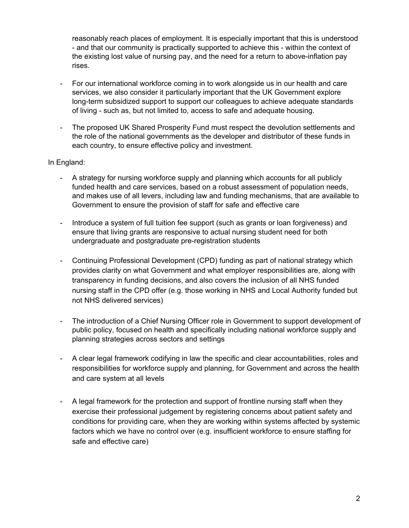reasonably reach places of employment. It is especially important that this is understood - and that our community is practically supported to achieve this - within the context of the existing lost value of nursing pay, and the need for a return to above-inflation pay rises.

- For our international workforce coming in to work alongside us in our health and care services, we also consider it particularly important that the UK Government explore long-term subsidized support to support our colleagues to achieve adequate standards of living - such as, but not limited to, access to safe and adequate housing.
- The proposed UK Shared Prosperity Fund must respect the devolution settlements and the role of the national governments as the developer and distributor of these funds in each country, to ensure effective policy and investment.

#### In England:

- A strategy for nursing workforce supply and planning which accounts for all publicly funded health and care services, based on a robust assessment of population needs, and makes use of all levers, including law and funding mechanisms, that are available to Government to ensure the provision of staff for safe and effective care
- Introduce a system of full tuition fee support (such as grants or loan forgiveness) and ensure that living grants are responsive to actual nursing student need for both undergraduate and postgraduate pre-registration students
- Continuing Professional Development (CPD) funding as part of national strategy which provides clarity on what Government and what employer responsibilities are, along with transparency in funding decisions, and also covers the inclusion of all NHS funded nursing staff in the CPD offer (e.g. those working in NHS and Local Authority funded but not NHS delivered services)
- The introduction of a Chief Nursing Officer role in Government to support development of public policy, focused on health and specifically including national workforce supply and planning strategies across sectors and settings
- A clear legal framework codifying in law the specific and clear accountabilities, roles and responsibilities for workforce supply and planning, for Government and across the health and care system at all levels
- A legal framework for the protection and support of frontline nursing staff when they exercise their professional judgement by registering concerns about patient safety and conditions for providing care, when they are working within systems affected by systemic factors which we have no control over (e.g. insufficient workforce to ensure staffing for safe and effective care)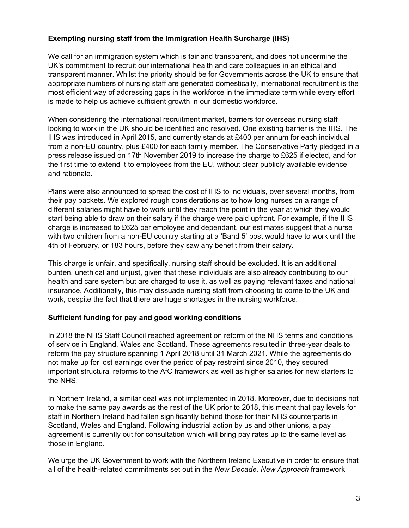### **Exempting nursing staff from the Immigration Health Surcharge (IHS)**

We call for an immigration system which is fair and transparent, and does not undermine the UK's commitment to recruit our international health and care colleagues in an ethical and transparent manner. Whilst the priority should be for Governments across the UK to ensure that appropriate numbers of nursing staff are generated domestically, international recruitment is the most efficient way of addressing gaps in the workforce in the immediate term while every effort is made to help us achieve sufficient growth in our domestic workforce.

When considering the international recruitment market, barriers for overseas nursing staff looking to work in the UK should be identified and resolved. One existing barrier is the IHS. The IHS was introduced in April 2015, and currently stands at £400 per annum for each individual from a non-EU country, plus £400 for each family member. The Conservative Party pledged in a press release issued on 17th November 2019 to increase the charge to £625 if elected, and for the first time to extend it to employees from the EU, without clear publicly available evidence and rationale.

Plans were also announced to spread the cost of IHS to individuals, over several months, from their pay packets. We explored rough considerations as to how long nurses on a range of different salaries might have to work until they reach the point in the year at which they would start being able to draw on their salary if the charge were paid upfront. For example, if the IHS charge is increased to £625 per employee and dependant, our estimates suggest that a nurse with two children from a non-EU country starting at a 'Band 5' post would have to work until the 4th of February, or 183 hours, before they saw any benefit from their salary.

This charge is unfair, and specifically, nursing staff should be excluded. It is an additional burden, unethical and unjust, given that these individuals are also already contributing to our health and care system but are charged to use it, as well as paying relevant taxes and national insurance. Additionally, this may dissuade nursing staff from choosing to come to the UK and work, despite the fact that there are huge shortages in the nursing workforce.

#### **Sufficient funding for pay and good working conditions**

In 2018 the NHS Staff Council reached agreement on reform of the NHS terms and conditions of service in England, Wales and Scotland. These agreements resulted in three-year deals to reform the pay structure spanning 1 April 2018 until 31 March 2021. While the agreements do not make up for lost earnings over the period of pay restraint since 2010, they secured important structural reforms to the AfC framework as well as higher salaries for new starters to the NHS.

In Northern Ireland, a similar deal was not implemented in 2018. Moreover, due to decisions not to make the same pay awards as the rest of the UK prior to 2018, this meant that pay levels for staff in Northern Ireland had fallen significantly behind those for their NHS counterparts in Scotland, Wales and England. Following industrial action by us and other unions, a pay agreement is currently out for consultation which will bring pay rates up to the same level as those in England.

We urge the UK Government to work with the Northern Ireland Executive in order to ensure that all of the health-related commitments set out in the *New Decade, New Approach* framework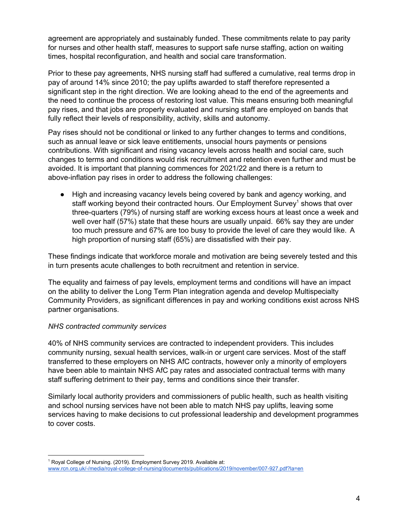agreement are appropriately and sustainably funded. These commitments relate to pay parity for nurses and other health staff, measures to support safe nurse staffing, action on waiting times, hospital reconfiguration, and health and social care transformation.

Prior to these pay agreements, NHS nursing staff had suffered a cumulative, real terms drop in pay of around 14% since 2010; the pay uplifts awarded to staff therefore represented a significant step in the right direction. We are looking ahead to the end of the agreements and the need to continue the process of restoring lost value. This means ensuring both meaningful pay rises, and that jobs are properly evaluated and nursing staff are employed on bands that fully reflect their levels of responsibility, activity, skills and autonomy.

Pay rises should not be conditional or linked to any further changes to terms and conditions, such as annual leave or sick leave entitlements, unsocial hours payments or pensions contributions. With significant and rising vacancy levels across health and social care, such changes to terms and conditions would risk recruitment and retention even further and must be avoided. It is important that planning commences for 2021/22 and there is a return to above-inflation pay rises in order to address the following challenges:

● High and increasing vacancy levels being covered by bank and agency working, and staff working beyond their contracted hours. Our Employment Survey<sup>1</sup> shows that over three-quarters (79%) of nursing staff are working excess hours at least once a week and well over half (57%) state that these hours are usually unpaid. 66% say they are under too much pressure and 67% are too busy to provide the level of care they would like. A high proportion of nursing staff (65%) are dissatisfied with their pay.

These findings indicate that workforce morale and motivation are being severely tested and this in turn presents acute challenges to both recruitment and retention in service.

The equality and fairness of pay levels, employment terms and conditions will have an impact on the ability to deliver the Long Term Plan integration agenda and develop Multispecialty Community Providers, as significant differences in pay and working conditions exist across NHS partner organisations.

#### *NHS contracted community services*

40% of NHS community services are contracted to independent providers. This includes community nursing, sexual health services, walk-in or urgent care services. Most of the staff transferred to these employers on NHS AfC contracts, however only a minority of employers have been able to maintain NHS AfC pay rates and associated contractual terms with many staff suffering detriment to their pay, terms and conditions since their transfer.

Similarly local authority providers and commissioners of public health, such as health visiting and school nursing services have not been able to match NHS pay uplifts, leaving some services having to make decisions to cut professional leadership and development programmes to cover costs.

<sup>&</sup>lt;sup>1</sup> Royal College of Nursing. (2019). Employment Survey 2019. Available at: [www.rcn.org.uk/-/media/royal-college-of-nursing/documents/publications/2019/november/007-927.pdf?la=en](http://www.rcn.org.uk/-/media/royal-college-of-nursing/documents/publications/2019/november/007-927.pdf?la=en)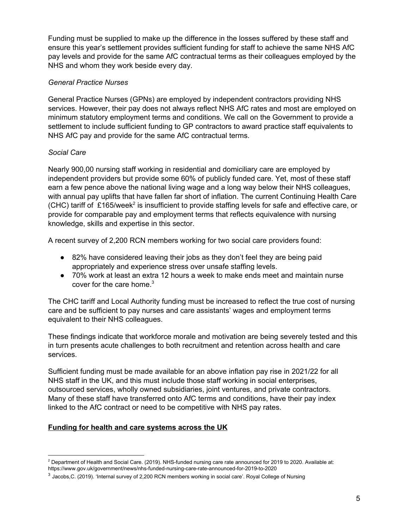Funding must be supplied to make up the difference in the losses suffered by these staff and ensure this year's settlement provides sufficient funding for staff to achieve the same NHS AfC pay levels and provide for the same AfC contractual terms as their colleagues employed by the NHS and whom they work beside every day.

### *General Practice Nurses*

General Practice Nurses (GPNs) are employed by independent contractors providing NHS services. However, their pay does not always reflect NHS AfC rates and most are employed on minimum statutory employment terms and conditions. We call on the Government to provide a settlement to include sufficient funding to GP contractors to award practice staff equivalents to NHS AfC pay and provide for the same AfC contractual terms.

### *Social Care*

Nearly 900,00 nursing staff working in residential and domiciliary care are employed by independent providers but provide some 60% of publicly funded care. Yet, most of these staff earn a few pence above the national living wage and a long way below their NHS colleagues, with annual pay uplifts that have fallen far short of inflation. The current Continuing Health Care (CHC) tariff of £165/week<sup>2</sup> is insufficient to provide staffing levels for safe and effective care, or provide for comparable pay and employment terms that reflects equivalence with nursing knowledge, skills and expertise in this sector.

A recent survey of 2,200 RCN members working for two social care providers found:

- 82% have considered leaving their jobs as they don't feel they are being paid appropriately and experience stress over unsafe staffing levels.
- 70% work at least an extra 12 hours a week to make ends meet and maintain nurse cover for the care home. 3

The CHC tariff and Local Authority funding must be increased to reflect the true cost of nursing care and be sufficient to pay nurses and care assistants' wages and employment terms equivalent to their NHS colleagues.

These findings indicate that workforce morale and motivation are being severely tested and this in turn presents acute challenges to both recruitment and retention across health and care services.

Sufficient funding must be made available for an above inflation pay rise in 2021/22 for all NHS staff in the UK, and this must include those staff working in social enterprises, outsourced services, wholly owned subsidiaries, joint ventures, and private contractors. Many of these staff have transferred onto AfC terms and conditions, have their pay index linked to the AfC contract or need to be competitive with NHS pay rates.

#### **Funding for health and care systems across the UK**

 $2$  Department of Health and Social Care. (2019). NHS-funded nursing care rate announced for 2019 to 2020. Available at: https://www.gov.uk/government/news/nhs-funded-nursing-care-rate-announced-for-2019-to-2020

<sup>3</sup> Jacobs,C. (2019). 'Internal survey of 2,200 RCN members working in social care'. Royal College of Nursing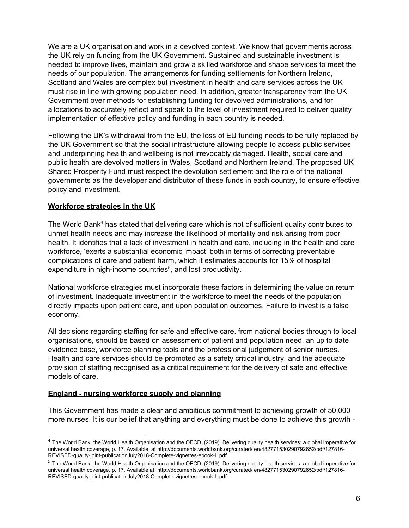We are a UK organisation and work in a devolved context. We know that governments across the UK rely on funding from the UK Government. Sustained and sustainable investment is needed to improve lives, maintain and grow a skilled workforce and shape services to meet the needs of our population. The arrangements for funding settlements for Northern Ireland, Scotland and Wales are complex but investment in health and care services across the UK must rise in line with growing population need. In addition, greater transparency from the UK Government over methods for establishing funding for devolved administrations, and for allocations to accurately reflect and speak to the level of investment required to deliver quality implementation of effective policy and funding in each country is needed.

Following the UK's withdrawal from the EU, the loss of EU funding needs to be fully replaced by the UK Government so that the social infrastructure allowing people to access public services and underpinning health and wellbeing is not irrevocably damaged. Health, social care and public health are devolved matters in Wales, Scotland and Northern Ireland. The proposed UK Shared Prosperity Fund must respect the devolution settlement and the role of the national governments as the developer and distributor of these funds in each country, to ensure effective policy and investment.

### **Workforce strategies in the UK**

The World Bank<sup>4</sup> has stated that delivering care which is not of sufficient quality contributes to unmet health needs and may increase the likelihood of mortality and risk arising from poor health. It identifies that a lack of investment in health and care, including in the health and care workforce, 'exerts a substantial economic impact' both in terms of correcting preventable complications of care and patient harm, which it estimates accounts for 15% of hospital expenditure in high-income countries<sup>5</sup>, and lost productivity.

National workforce strategies must incorporate these factors in determining the value on return of investment. Inadequate investment in the workforce to meet the needs of the population directly impacts upon patient care, and upon population outcomes. Failure to invest is a false economy.

All decisions regarding staffing for safe and effective care, from national bodies through to local organisations, should be based on assessment of patient and population need, an up to date evidence base, workforce planning tools and the professional judgement of senior nurses. Health and care services should be promoted as a safety critical industry, and the adequate provision of staffing recognised as a critical requirement for the delivery of safe and effective models of care.

#### **England - nursing workforce supply and planning**

This Government has made a clear and ambitious commitment to achieving growth of 50,000 more nurses. It is our belief that anything and everything must be done to achieve this growth -

<sup>4</sup> The World Bank, the World Health Organisation and the OECD. (2019). Delivering quality health services: a global imperative for universal health coverage, p. 17. Available: at http://documents.worldbank.org/curated/ en/482771530290792652/pdf/127816- REVISED-quality-joint-publicationJuly2018-Complete-vignettes-ebook-L.pdf

<sup>5</sup> The World Bank, the World Health Organisation and the OECD. (2019). Delivering quality health services: a global imperative for universal health coverage, p. 17. Available at: http://documents.worldbank.org/curated/ en/482771530290792652/pdf/127816- REVISED-quality-joint-publicationJuly2018-Complete-vignettes-ebook-L.pdf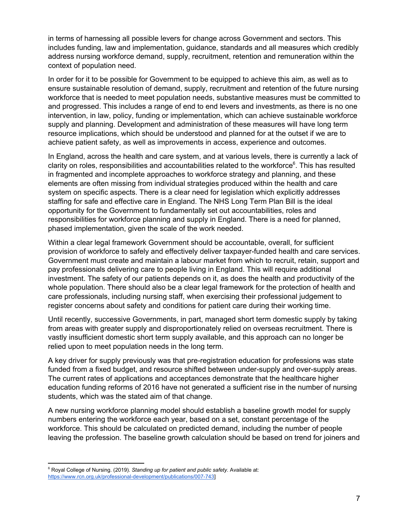in terms of harnessing all possible levers for change across Government and sectors. This includes funding, law and implementation, guidance, standards and all measures which credibly address nursing workforce demand, supply, recruitment, retention and remuneration within the context of population need.

In order for it to be possible for Government to be equipped to achieve this aim, as well as to ensure sustainable resolution of demand, supply, recruitment and retention of the future nursing workforce that is needed to meet population needs, substantive measures must be committed to and progressed. This includes a range of end to end levers and investments, as there is no one intervention, in law, policy, funding or implementation, which can achieve sustainable workforce supply and planning. Development and administration of these measures will have long term resource implications, which should be understood and planned for at the outset if we are to achieve patient safety, as well as improvements in access, experience and outcomes.

In England, across the health and care system, and at various levels, there is currently a lack of clarity on roles, responsibilities and accountabilities related to the workforce $<sup>6</sup>$ . This has resulted</sup> in fragmented and incomplete approaches to workforce strategy and planning, and these elements are often missing from individual strategies produced within the health and care system on specific aspects. There is a clear need for legislation which explicitly addresses staffing for safe and effective care in England. The NHS Long Term Plan Bill is the ideal opportunity for the Government to fundamentally set out accountabilities, roles and responsibilities for workforce planning and supply in England. There is a need for planned, phased implementation, given the scale of the work needed.

Within a clear legal framework Government should be accountable, overall, for sufficient provision of workforce to safely and effectively deliver taxpayer-funded health and care services. Government must create and maintain a labour market from which to recruit, retain, support and pay professionals delivering care to people living in England. This will require additional investment. The safety of our patients depends on it, as does the health and productivity of the whole population. There should also be a clear legal framework for the protection of health and care professionals, including nursing staff, when exercising their professional judgement to register concerns about safety and conditions for patient care during their working time.

Until recently, successive Governments, in part, managed short term domestic supply by taking from areas with greater supply and disproportionately relied on overseas recruitment. There is vastly insufficient domestic short term supply available, and this approach can no longer be relied upon to meet population needs in the long term.

A key driver for supply previously was that pre-registration education for professions was state funded from a fixed budget, and resource shifted between under-supply and over-supply areas. The current rates of applications and acceptances demonstrate that the healthcare higher education funding reforms of 2016 have not generated a sufficient rise in the number of nursing students, which was the stated aim of that change.

A new nursing workforce planning model should establish a baseline growth model for supply numbers entering the workforce each year, based on a set, constant percentage of the workforce. This should be calculated on predicted demand, including the number of people leaving the profession. The baseline growth calculation should be based on trend for joiners and

<sup>6</sup> Royal College of Nursing. (2019). *Standing up for patient and public safety.* Available at: [https://www.rcn.org.uk/professional-development/publications/007-743\]](https://www.rcn.org.uk/professional-development/publications/007-743)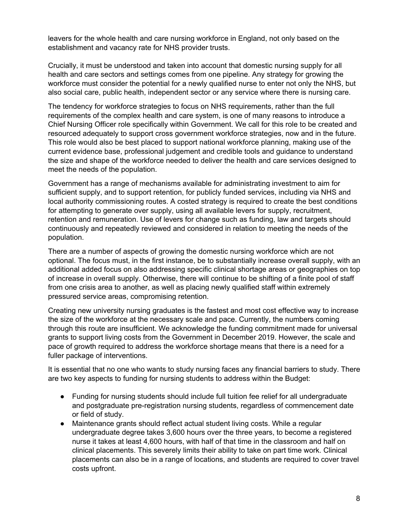leavers for the whole health and care nursing workforce in England, not only based on the establishment and vacancy rate for NHS provider trusts.

Crucially, it must be understood and taken into account that domestic nursing supply for all health and care sectors and settings comes from one pipeline. Any strategy for growing the workforce must consider the potential for a newly qualified nurse to enter not only the NHS, but also social care, public health, independent sector or any service where there is nursing care.

The tendency for workforce strategies to focus on NHS requirements, rather than the full requirements of the complex health and care system, is one of many reasons to introduce a Chief Nursing Officer role specifically within Government. We call for this role to be created and resourced adequately to support cross government workforce strategies, now and in the future. This role would also be best placed to support national workforce planning, making use of the current evidence base, professional judgement and credible tools and guidance to understand the size and shape of the workforce needed to deliver the health and care services designed to meet the needs of the population.

Government has a range of mechanisms available for administrating investment to aim for sufficient supply, and to support retention, for publicly funded services, including via NHS and local authority commissioning routes. A costed strategy is required to create the best conditions for attempting to generate over supply, using all available levers for supply, recruitment, retention and remuneration. Use of levers for change such as funding, law and targets should continuously and repeatedly reviewed and considered in relation to meeting the needs of the population.

There are a number of aspects of growing the domestic nursing workforce which are not optional. The focus must, in the first instance, be to substantially increase overall supply, with an additional added focus on also addressing specific clinical shortage areas or geographies on top of increase in overall supply. Otherwise, there will continue to be shifting of a finite pool of staff from one crisis area to another, as well as placing newly qualified staff within extremely pressured service areas, compromising retention.

Creating new university nursing graduates is the fastest and most cost effective way to increase the size of the workforce at the necessary scale and pace. Currently, the numbers coming through this route are insufficient. We acknowledge the funding commitment made for universal grants to support living costs from the Government in December 2019. However, the scale and pace of growth required to address the workforce shortage means that there is a need for a fuller package of interventions.

It is essential that no one who wants to study nursing faces any financial barriers to study. There are two key aspects to funding for nursing students to address within the Budget:

- Funding for nursing students should include full tuition fee relief for all undergraduate and postgraduate pre-registration nursing students, regardless of commencement date or field of study.
- Maintenance grants should reflect actual student living costs. While a regular undergraduate degree takes 3,600 hours over the three years, to become a registered nurse it takes at least 4,600 hours, with half of that time in the classroom and half on clinical placements. This severely limits their ability to take on part time work. Clinical placements can also be in a range of locations, and students are required to cover travel costs upfront.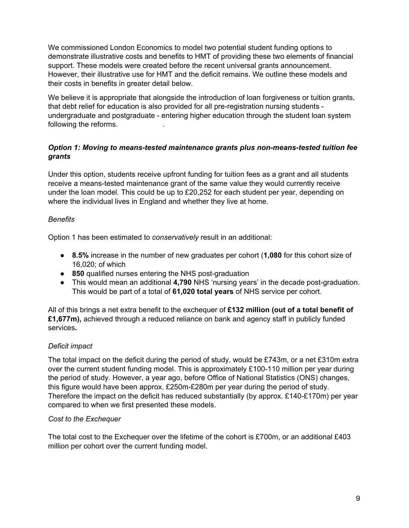We commissioned London Economics to model two potential student funding options to demonstrate illustrative costs and benefits to HMT of providing these two elements of financial support. These models were created before the recent universal grants announcement. However, their illustrative use for HMT and the deficit remains. We outline these models and their costs in benefits in greater detail below.

We believe it is appropriate that alongside the introduction of loan forgiveness or tuition grants, that debt relief for education is also provided for all pre-registration nursing students undergraduate and postgraduate - entering higher education through the student loan system following the reforms. .

## *Option 1: Moving to means-tested maintenance grants plus non-means-tested tuition fee grants*

Under this option, students receive upfront funding for tuition fees as a grant and all students receive a means-tested maintenance grant of the same value they would currently receive under the loan model. This could be up to £20,252 for each student per year, depending on where the individual lives in England and whether they live at home.

## *Benefits*

Option 1 has been estimated to *conservatively* result in an additional:

- **8.5%** increase in the number of new graduates per cohort (**1,080** for this cohort size of 16,020; of which
- **850** qualified nurses entering the NHS post-graduation
- This would mean an additional **4,790** NHS 'nursing years' in the decade post-graduation. This would be part of a total of **61,020 total years** of NHS service per cohort.

All of this brings a net extra benefit to the exchequer of **£132 million (out of a total benefit of £1,677m),** achieved through a reduced reliance on bank and agency staff in publicly funded services**.**

## *Deficit impact*

The total impact on the deficit during the period of study, would be £743m, or a net £310m extra over the current student funding model. This is approximately £100-110 million per year during the period of study. However, a year ago, before Office of National Statistics (ONS) changes, this figure would have been approx. £250m-£280m per year during the period of study. Therefore the impact on the deficit has reduced substantially (by approx. £140-£170m) per year compared to when we first presented these models.

## *Cost to the Exchequer*

The total cost to the Exchequer over the lifetime of the cohort is £700m, or an additional £403 million per cohort over the current funding model.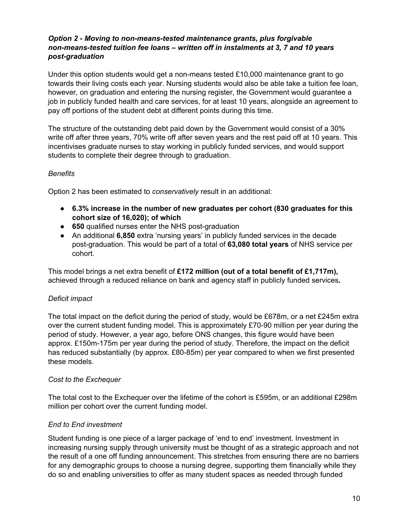### *Option 2 - Moving to non-means-tested maintenance grants, plus forgivable non-means-tested tuition fee loans – written off in instalments at 3, 7 and 10 years post-graduation*

Under this option students would get a non-means tested £10,000 maintenance grant to go towards their living costs each year. Nursing students would also be able take a tuition fee loan, however, on graduation and entering the nursing register, the Government would guarantee a job in publicly funded health and care services, for at least 10 years, alongside an agreement to pay off portions of the student debt at different points during this time.

The structure of the outstanding debt paid down by the Government would consist of a 30% write off after three years, 70% write off after seven years and the rest paid off at 10 years. This incentivises graduate nurses to stay working in publicly funded services, and would support students to complete their degree through to graduation.

### *Benefits*

Option 2 has been estimated to *conservatively* result in an additional:

- **● 6.3% increase in the number of new graduates per cohort (830 graduates for this cohort size of 16,020); of which**
- **650** qualified nurses enter the NHS post-graduation
- An additional **6,850** extra 'nursing years' in publicly funded services in the decade post-graduation. This would be part of a total of **63,080 total years** of NHS service per cohort.

This model brings a net extra benefit of **£172 million (out of a total benefit of £1,717m),** achieved through a reduced reliance on bank and agency staff in publicly funded services**.**

## *Deficit impact*

The total impact on the deficit during the period of study, would be £678m, or a net £245m extra over the current student funding model. This is approximately £70-90 million per year during the period of study. However, a year ago, before ONS changes, this figure would have been approx. £150m-175m per year during the period of study. Therefore, the impact on the deficit has reduced substantially (by approx. £80-85m) per year compared to when we first presented these models.

#### *Cost to the Exchequer*

The total cost to the Exchequer over the lifetime of the cohort is £595m, or an additional £298m million per cohort over the current funding model.

## *End to End investment*

Student funding is one piece of a larger package of 'end to end' investment. Investment in increasing nursing supply through university must be thought of as a strategic approach and not the result of a one off funding announcement. This stretches from ensuring there are no barriers for any demographic groups to choose a nursing degree, supporting them financially while they do so and enabling universities to offer as many student spaces as needed through funded